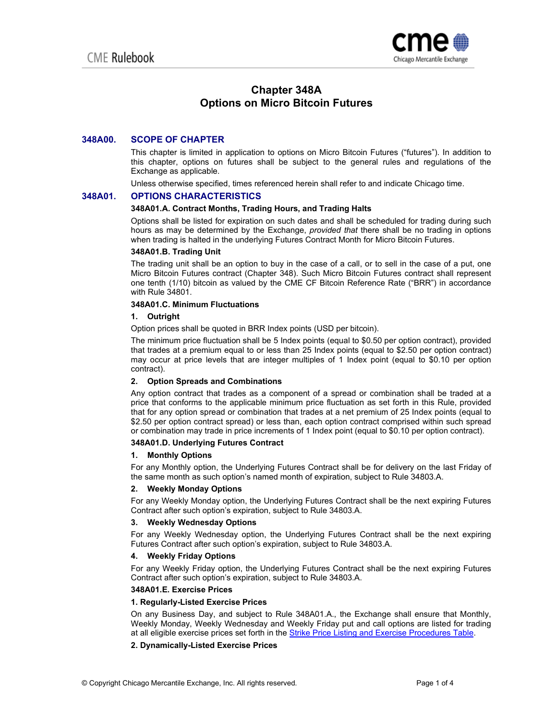

# **Chapter 348A Options on Micro Bitcoin Futures**

## **348A00. SCOPE OF CHAPTER**

This chapter is limited in application to options on Micro Bitcoin Futures ("futures"). In addition to this chapter, options on futures shall be subject to the general rules and regulations of the Exchange as applicable.

Unless otherwise specified, times referenced herein shall refer to and indicate Chicago time.

## **348A01. OPTIONS CHARACTERISTICS**

## **348A01.A. Contract Months, Trading Hours, and Trading Halts**

Options shall be listed for expiration on such dates and shall be scheduled for trading during such hours as may be determined by the Exchange, *provided that* there shall be no trading in options when trading is halted in the underlying Futures Contract Month for Micro Bitcoin Futures.

#### **348A01.B. Trading Unit**

The trading unit shall be an option to buy in the case of a call, or to sell in the case of a put, one Micro Bitcoin Futures contract (Chapter 348). Such Micro Bitcoin Futures contract shall represent one tenth (1/10) bitcoin as valued by the CME CF Bitcoin Reference Rate ("BRR") in accordance with Rule 34801.

## **348A01.C. Minimum Fluctuations**

## **1. Outright**

Option prices shall be quoted in BRR Index points (USD per bitcoin).

The minimum price fluctuation shall be 5 Index points (equal to \$0.50 per option contract), provided that trades at a premium equal to or less than 25 Index points (equal to \$2.50 per option contract) may occur at price levels that are integer multiples of 1 Index point (equal to \$0.10 per option contract).

## **2. Option Spreads and Combinations**

Any option contract that trades as a component of a spread or combination shall be traded at a price that conforms to the applicable minimum price fluctuation as set forth in this Rule, provided that for any option spread or combination that trades at a net premium of 25 Index points (equal to \$2.50 per option contract spread) or less than, each option contract comprised within such spread or combination may trade in price increments of 1 Index point (equal to \$0.10 per option contract).

## **348A01.D. Underlying Futures Contract**

## **1. Monthly Options**

For any Monthly option, the Underlying Futures Contract shall be for delivery on the last Friday of the same month as such option's named month of expiration, subject to Rule 34803.A.

#### **2. Weekly Monday Options**

For any Weekly Monday option, the Underlying Futures Contract shall be the next expiring Futures Contract after such option's expiration, subject to Rule 34803.A.

## **3. Weekly Wednesday Options**

For any Weekly Wednesday option, the Underlying Futures Contract shall be the next expiring Futures Contract after such option's expiration, subject to Rule 34803.A.

## **4. Weekly Friday Options**

For any Weekly Friday option, the Underlying Futures Contract shall be the next expiring Futures Contract after such option's expiration, subject to Rule 34803.A.

#### **348A01.E. Exercise Prices**

## **1. Regularly-Listed Exercise Prices**

On any Business Day, and subject to Rule 348A01.A., the Exchange shall ensure that Monthly, Weekly Monday, Weekly Wednesday and Weekly Friday put and call options are listed for trading at all eligible exercise prices set forth in the **Strike Price Listing and Exercise Procedures Table**.

## **2. Dynamically-Listed Exercise Prices**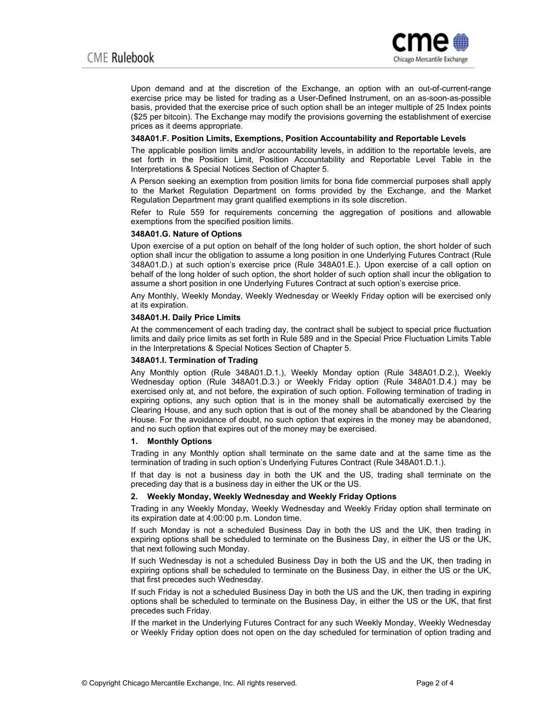

Upon demand and at the discretion of the Exchange, an option with an out-of-current-range exercise price may be listed for trading as a User-Defined Instrument, on an as-soon-as-possible basis, provided that the exercise price of such option shall be an integer multiple of 25 Index points (\$25 per bitcoin). The Exchange may modify the provisions governing the establishment of exercise prices as it deems appropriate.

#### **348A01.F. Position Limits, Exemptions, Position Accountability and Reportable Levels**

The applicable position limits and/or accountability levels, in addition to the reportable levels, are set forth in the Position Limit, Position Accountability and Reportable Level Table in the Interpretations & Special Notices Section of Chapter 5.

A Person seeking an exemption from position limits for bona fide commercial purposes shall apply to the Market Regulation Department on forms provided by the Exchange, and the Market Regulation Department may grant qualified exemptions in its sole discretion.

Refer to Rule 559 for requirements concerning the aggregation of positions and allowable exemptions from the specified position limits.

#### **348A01.G. Nature of Options**

Upon exercise of a put option on behalf of the long holder of such option, the short holder of such option shall incur the obligation to assume a long position in one Underlying Futures Contract (Rule 348A01.D.) at such option's exercise price (Rule 348A01.E.). Upon exercise of a call option on behalf of the long holder of such option, the short holder of such option shall incur the obligation to assume a short position in one Underlying Futures Contract at such option's exercise price.

Any Monthly, Weekly Monday, Weekly Wednesday or Weekly Friday option will be exercised only at its expiration.

#### **348A01.H. Daily Price Limits**

At the commencement of each trading day, the contract shall be subject to special price fluctuation limits and daily price limits as set forth in Rule 589 and in the Special Price Fluctuation Limits Table in the Interpretations & Special Notices Section of Chapter 5.

#### **348A01.I. Termination of Trading**

Any Monthly option (Rule 348A01.D.1.), Weekly Monday option (Rule 348A01.D.2.), Weekly Wednesday option (Rule 348A01.D.3.) or Weekly Friday option (Rule 348A01.D.4.) may be exercised only at, and not before, the expiration of such option. Following termination of trading in expiring options, any such option that is in the money shall be automatically exercised by the Clearing House, and any such option that is out of the money shall be abandoned by the Clearing House. For the avoidance of doubt, no such option that expires in the money may be abandoned, and no such option that expires out of the money may be exercised.

#### **1. Monthly Options**

Trading in any Monthly option shall terminate on the same date and at the same time as the termination of trading in such option's Underlying Futures Contract (Rule 348A01.D.1.).

If that day is not a business day in both the UK and the US, trading shall terminate on the preceding day that is a business day in either the UK or the US.

#### **2. Weekly Monday, Weekly Wednesday and Weekly Friday Options**

Trading in any Weekly Monday, Weekly Wednesday and Weekly Friday option shall terminate on its expiration date at 4:00:00 p.m. London time.

If such Monday is not a scheduled Business Day in both the US and the UK, then trading in expiring options shall be scheduled to terminate on the Business Day, in either the US or the UK, that next following such Monday.

If such Wednesday is not a scheduled Business Day in both the US and the UK, then trading in expiring options shall be scheduled to terminate on the Business Day, in either the US or the UK, that first precedes such Wednesday.

If such Friday is not a scheduled Business Day in both the US and the UK, then trading in expiring options shall be scheduled to terminate on the Business Day, in either the US or the UK, that first precedes such Friday.

If the market in the Underlying Futures Contract for any such Weekly Monday, Weekly Wednesday or Weekly Friday option does not open on the day scheduled for termination of option trading and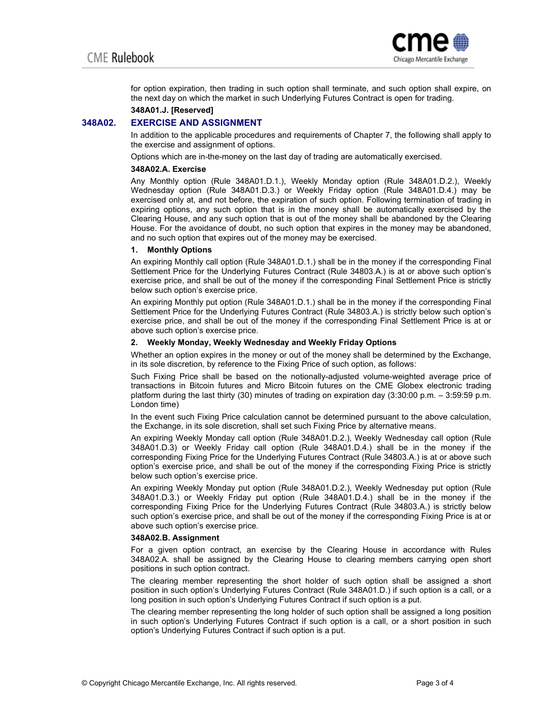

for option expiration, then trading in such option shall terminate, and such option shall expire, on the next day on which the market in such Underlying Futures Contract is open for trading.

#### **348A01.J. [Reserved]**

## **348A02. EXERCISE AND ASSIGNMENT**

In addition to the applicable procedures and requirements of Chapter 7, the following shall apply to the exercise and assignment of options.

Options which are in-the-money on the last day of trading are automatically exercised.

#### **348A02.A. Exercise**

Any Monthly option (Rule 348A01.D.1.), Weekly Monday option (Rule 348A01.D.2.), Weekly Wednesday option (Rule 348A01.D.3.) or Weekly Friday option (Rule 348A01.D.4.) may be exercised only at, and not before, the expiration of such option. Following termination of trading in expiring options, any such option that is in the money shall be automatically exercised by the Clearing House, and any such option that is out of the money shall be abandoned by the Clearing House. For the avoidance of doubt, no such option that expires in the money may be abandoned, and no such option that expires out of the money may be exercised.

#### **1. Monthly Options**

An expiring Monthly call option (Rule 348A01.D.1.) shall be in the money if the corresponding Final Settlement Price for the Underlying Futures Contract (Rule 34803.A.) is at or above such option's exercise price, and shall be out of the money if the corresponding Final Settlement Price is strictly below such option's exercise price.

An expiring Monthly put option (Rule 348A01.D.1.) shall be in the money if the corresponding Final Settlement Price for the Underlying Futures Contract (Rule 34803.A.) is strictly below such option's exercise price, and shall be out of the money if the corresponding Final Settlement Price is at or above such option's exercise price.

#### **2. Weekly Monday, Weekly Wednesday and Weekly Friday Options**

Whether an option expires in the money or out of the money shall be determined by the Exchange, in its sole discretion, by reference to the Fixing Price of such option, as follows:

Such Fixing Price shall be based on the notionally-adjusted volume-weighted average price of transactions in Bitcoin futures and Micro Bitcoin futures on the CME Globex electronic trading platform during the last thirty (30) minutes of trading on expiration day (3:30:00 p.m. – 3:59:59 p.m. London time)

In the event such Fixing Price calculation cannot be determined pursuant to the above calculation, the Exchange, in its sole discretion, shall set such Fixing Price by alternative means.

An expiring Weekly Monday call option (Rule 348A01.D.2.), Weekly Wednesday call option (Rule 348A01.D.3) or Weekly Friday call option (Rule 348A01.D.4.) shall be in the money if the corresponding Fixing Price for the Underlying Futures Contract (Rule 34803.A.) is at or above such option's exercise price, and shall be out of the money if the corresponding Fixing Price is strictly below such option's exercise price.

An expiring Weekly Monday put option (Rule 348A01.D.2.), Weekly Wednesday put option (Rule 348A01.D.3.) or Weekly Friday put option (Rule 348A01.D.4.) shall be in the money if the corresponding Fixing Price for the Underlying Futures Contract (Rule 34803.A.) is strictly below such option's exercise price, and shall be out of the money if the corresponding Fixing Price is at or above such option's exercise price.

#### **348A02.B. Assignment**

For a given option contract, an exercise by the Clearing House in accordance with Rules 348A02.A. shall be assigned by the Clearing House to clearing members carrying open short positions in such option contract.

The clearing member representing the short holder of such option shall be assigned a short position in such option's Underlying Futures Contract (Rule 348A01.D.) if such option is a call, or a long position in such option's Underlying Futures Contract if such option is a put.

The clearing member representing the long holder of such option shall be assigned a long position in such option's Underlying Futures Contract if such option is a call, or a short position in such option's Underlying Futures Contract if such option is a put.